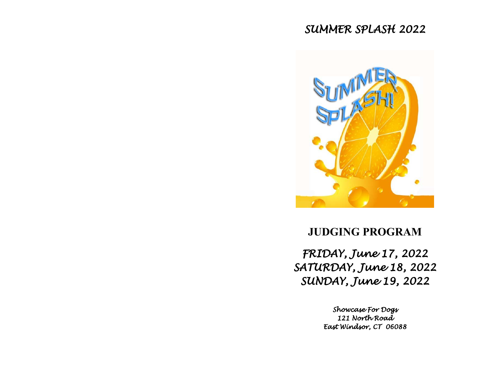# *SUMMER SPLASH 2022*



# **JUDGING PROGRAM**

*FRIDAY, June 17, 2022 SATURDAY, June 18, 2022 SUNDAY, June 19, 2022* 

> *Showcase For Dogs 121 North Road East Windsor, CT 06088*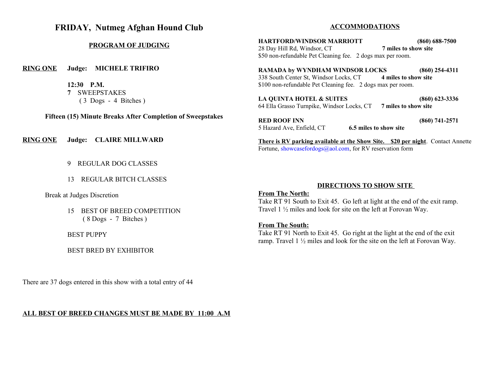# **FRIDAY, Nutmeg Afghan Hound Club**

### **PROGRAM OF JUDGING**

**RING ONE Judge: MICHELE TRIFIRO**

**12:30 P.M. 7** SWEEPSTAKES ( 3 Dogs - 4 Bitches )

**Fifteen (15) Minute Breaks After Completion of Sweepstakes** 

**RING ONE Judge: CLAIRE MILLWARD**

- 9 REGULAR DOG CLASSES
- 13 REGULAR BITCH CLASSES

Break at Judges Discretion

15 BEST OF BREED COMPETITION ( 8 Dogs - 7 Bitches )

BEST PUPPY

BEST BRED BY EXHIBITOR

There are 37 dogs entered in this show with a total entry of 44

### **ALL BEST OF BREED CHANGES MUST BE MADE BY 11:00 A.M**

### **ACCOMMODATIONS**

**HARTFORD/WINDSOR MARRIOTT (860) 688-7500** 28 Day Hill Rd, Windsor, CT **7 miles to show site** \$50 non-refundable Pet Cleaning fee. 2 dogs max per room.

**RAMADA by WYNDHAM WINDSOR LOCKS (860) 254-4311** 338 South Center St, Windsor Locks, CT **4 miles to show site** \$100 non-refundable Pet Cleaning fee. 2 dogs max per room.

**LA QUINTA HOTEL & SUITES (860) 623-3336** 64 Ella Grasso Turnpike, Windsor Locks, CT **7 miles to show site**

**RED ROOF INN (860) 741-2571** 5 Hazard Ave, Enfield, CT **6.5 miles to show site** 

**There is RV parking available at the Show Site. \$20 per night**. Contact Annette Fortune, [showcasefordogs@aol.com](mailto:showcasefordogs@aol.com), for RV reservation form

### **DIRECTIONS TO SHOW SITE**

### **From The North:**

Take RT 91 South to Exit 45. Go left at light at the end of the exit ramp. Travel 1 ½ miles and look for site on the left at Forovan Way.

### **From The South:**

Take RT 91 North to Exit 45. Go right at the light at the end of the exit ramp. Travel 1 ½ miles and look for the site on the left at Forovan Way.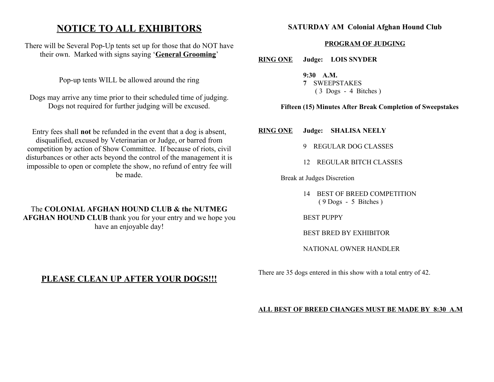# **NOTICE TO ALL EXHIBITORS**

There will be Several Pop-Up tents set up for those that do NOT have their own. Marked with signs saying '**General Grooming**'

Pop-up tents WILL be allowed around the ring

Dogs may arrive any time prior to their scheduled time of judging. Dogs not required for further judging will be excused.

Entry fees shall **not** be refunded in the event that a dog is absent, disqualified, excused by Veterinarian or Judge, or barred from competition by action of Show Committee. If because of riots, civil disturbances or other acts beyond the control of the management it is impossible to open or complete the show, no refund of entry fee will be made.

# The **COLONIAL AFGHAN HOUND CLUB & the NUTMEG AFGHAN HOUND CLUB** thank you for your entry and we hope you have an enjoyable day!

# **PLEASE CLEAN UP AFTER YOUR DOGS!!!**

# **SATURDAY AM Colonial Afghan Hound Club**

# **PROGRAM OF JUDGING**

**RING ONE Judge: LOIS SNYDER**

**9:30 A.M. 7** SWEEPSTAKES ( 3 Dogs - 4 Bitches )

# **Fifteen (15) Minutes After Break Completion of Sweepstakes**

**RING ONE Judge: SHALISA NEELY** 

- 9 REGULAR DOG CLASSES
- 12 REGULAR BITCH CLASSES

Break at Judges Discretion

14 BEST OF BREED COMPETITION ( 9 Dogs - 5 Bitches )

BEST PUPPY

BEST BRED BY EXHIBITOR

NATIONAL OWNER HANDLER

There are 35 dogs entered in this show with a total entry of 42.

### **ALL BEST OF BREED CHANGES MUST BE MADE BY 8:30 A.M**